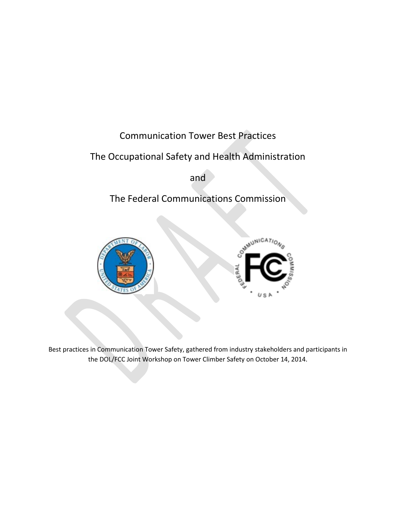# Communication Tower Best Practices

# The Occupational Safety and Health Administration

and

# The Federal Communications Commission





Best practices in Communication Tower Safety, gathered from industry stakeholders and participants in the DOL/FCC Joint Workshop on Tower Climber Safety on October 14, 2014.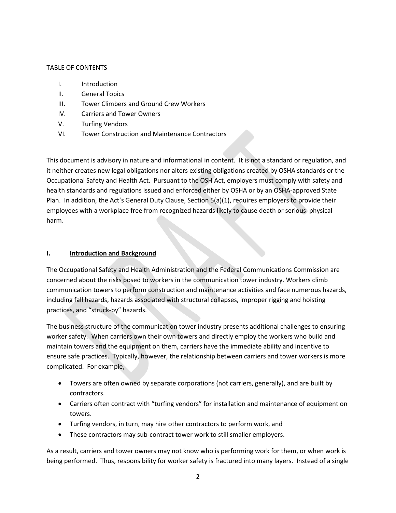## TABLE OF CONTENTS

- I. Introduction
- II. General Topics
- III. Tower Climbers and Ground Crew Workers
- IV. Carriers and Tower Owners
- V. Turfing Vendors
- VI. Tower Construction and Maintenance Contractors

This document is advisory in nature and informational in content. It is not a standard or regulation, and it neither creates new legal obligations nor alters existing obligations created by OSHA standards or the Occupational Safety and Health Act. Pursuant to the OSH Act, employers must comply with safety and health standards and regulations issued and enforced either by OSHA or by an OSHA-approved State Plan. In addition, the Act's General Duty Clause, Section 5(a)(1), requires employers to provide their employees with a workplace free from recognized hazards likely to cause death or serious physical harm.

### **I. Introduction and Background**

The Occupational Safety and Health Administration and the Federal Communications Commission are concerned about the risks posed to workers in the communication tower industry. Workers climb communication towers to perform construction and maintenance activities and face numerous hazards, including fall hazards, hazards associated with structural collapses, improper rigging and hoisting practices, and "struck-by" hazards.

The business structure of the communication tower industry presents additional challenges to ensuring worker safety. When carriers own their own towers and directly employ the workers who build and maintain towers and the equipment on them, carriers have the immediate ability and incentive to ensure safe practices. Typically, however, the relationship between carriers and tower workers is more complicated. For example,

- Towers are often owned by separate corporations (not carriers, generally), and are built by contractors.
- Carriers often contract with "turfing vendors" for installation and maintenance of equipment on towers.
- Turfing vendors, in turn, may hire other contractors to perform work, and
- These contractors may sub-contract tower work to still smaller employers.

As a result, carriers and tower owners may not know who is performing work for them, or when work is being performed. Thus, responsibility for worker safety is fractured into many layers. Instead of a single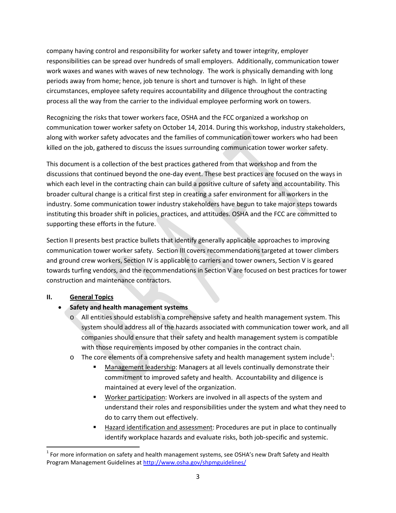company having control and responsibility for worker safety and tower integrity, employer responsibilities can be spread over hundreds of small employers. Additionally, communication tower work waxes and wanes with waves of new technology. The work is physically demanding with long periods away from home; hence, job tenure is short and turnover is high. In light of these circumstances, employee safety requires accountability and diligence throughout the contracting process all the way from the carrier to the individual employee performing work on towers.

Recognizing the risks that tower workers face, OSHA and the FCC organized a workshop on communication tower worker safety on October 14, 2014. During this workshop, industry stakeholders, along with worker safety advocates and the families of communication tower workers who had been killed on the job, gathered to discuss the issues surrounding communication tower worker safety.

This document is a collection of the best practices gathered from that workshop and from the discussions that continued beyond the one-day event. These best practices are focused on the ways in which each level in the contracting chain can build a positive culture of safety and accountability. This broader cultural change is a critical first step in creating a safer environment for all workers in the industry. Some communication tower industry stakeholders have begun to take major steps towards instituting this broader shift in policies, practices, and attitudes. OSHA and the FCC are committed to supporting these efforts in the future.

Section II presents best practice bullets that identify generally applicable approaches to improving communication tower worker safety. Section III covers recommendations targeted at tower climbers and ground crew workers, Section IV is applicable to carriers and tower owners, Section V is geared towards turfing vendors, and the recommendations in Section V are focused on best practices for tower construction and maintenance contractors.

# **II. General Topics**

# • **Safety and health management systems**

- o All entities should establish a comprehensive safety and health management system. This system should address all of the hazards associated with communication tower work, and all companies should ensure that their safety and health management system is compatible with those requirements imposed by other companies in the contract chain.
- $\circ$  The core elements of a comprehensive safety and health management system include<sup>[1](#page-2-0)</sup>:
	- **Management leadership: Managers at all levels continually demonstrate their** commitment to improved safety and health. Accountability and diligence is maintained at every level of the organization.
	- Worker participation: Workers are involved in all aspects of the system and understand their roles and responsibilities under the system and what they need to do to carry them out effectively.
	- Hazard identification and assessment: Procedures are put in place to continually identify workplace hazards and evaluate risks, both job-specific and systemic.

<span id="page-2-0"></span> $<sup>1</sup>$  For more information on safety and health management systems, see OSHA's new Draft Safety and Health</sup> Program Management Guidelines a[t http://www.osha.gov/shpmguidelines/](http://www.osha.gov/shpmguidelines/)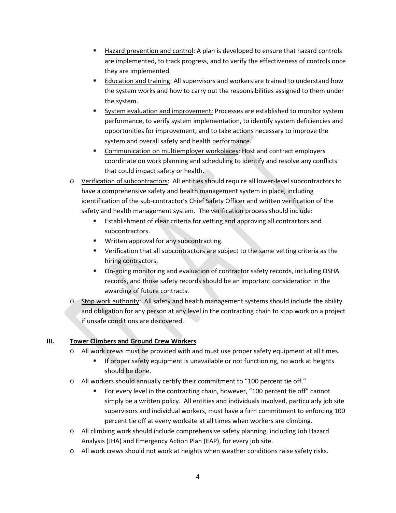- Hazard prevention and control: A plan is developed to ensure that hazard controls are implemented, to track progress, and to verify the effectiveness of controls once they are implemented.
- **Education and training: All supervisors and workers are trained to understand how** the system works and how to carry out the responsibilities assigned to them under the system.
- System evaluation and improvement: Processes are established to monitor system performance, to verify system implementation, to identify system deficiencies and opportunities for improvement, and to take actions necessary to improve the system and overall safety and health performance.
- Communication on multiemployer workplaces: Host and contract employers coordinate on work planning and scheduling to identify and resolve any conflicts that could impact safety or health.
- o Verification of subcontractors: All entities should require all lower-level subcontractors to have a comprehensive safety and health management system in place, including identification of the sub-contractor's Chief Safety Officer and written verification of the safety and health management system. The verification process should include:
	- **Establishment of clear criteria for vetting and approving all contractors and** subcontractors.
	- **Written approval for any subcontracting.**
	- Verification that all subcontractors are subject to the same vetting criteria as the hiring contractors.
	- On-going monitoring and evaluation of contractor safety records, including OSHA records, and those safety records should be an important consideration in the awarding of future contracts.
- o Stop work authority: All safety and health management systems should include the ability and obligation for any person at any level in the contracting chain to stop work on a project if unsafe conditions are discovered.

# **III. Tower Climbers and Ground Crew Workers**

- o All work crews must be provided with and must use proper safety equipment at all times.
	- **If proper safety equipment is unavailable or not functioning, no work at heights** should be done.
- o All workers should annually certify their commitment to "100 percent tie off."
	- For every level in the contracting chain, however, "100 percent tie off" cannot simply be a written policy. All entities and individuals involved, particularly job site supervisors and individual workers, must have a firm commitment to enforcing 100 percent tie off at every worksite at all times when workers are climbing.
- o All climbing work should include comprehensive safety planning, including Job Hazard Analysis (JHA) and Emergency Action Plan (EAP), for every job site.
- o All work crews should not work at heights when weather conditions raise safety risks.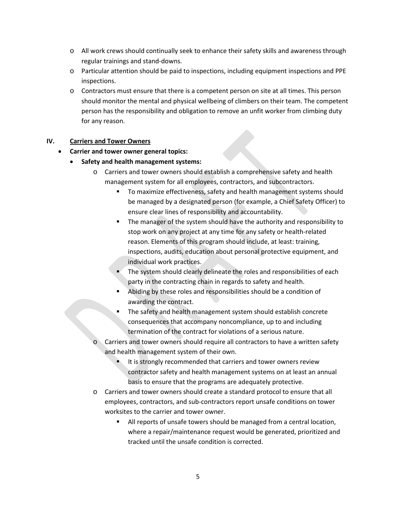- o All work crews should continually seek to enhance their safety skills and awareness through regular trainings and stand-downs.
- o Particular attention should be paid to inspections, including equipment inspections and PPE inspections.
- o Contractors must ensure that there is a competent person on site at all times. This person should monitor the mental and physical wellbeing of climbers on their team. The competent person has the responsibility and obligation to remove an unfit worker from climbing duty for any reason.

## **IV. Carriers and Tower Owners**

## • **Carrier and tower owner general topics:**

- **Safety and health management systems:**
	- o Carriers and tower owners should establish a comprehensive safety and health management system for all employees, contractors, and subcontractors.
		- To maximize effectiveness, safety and health management systems should be managed by a designated person (for example, a Chief Safety Officer) to ensure clear lines of responsibility and accountability.
		- The manager of the system should have the authority and responsibility to stop work on any project at any time for any safety or health-related reason. Elements of this program should include, at least: training, inspections, audits, education about personal protective equipment, and individual work practices.
		- The system should clearly delineate the roles and responsibilities of each party in the contracting chain in regards to safety and health.
		- Abiding by these roles and responsibilities should be a condition of awarding the contract.
		- The safety and health management system should establish concrete consequences that accompany noncompliance, up to and including termination of the contract for violations of a serious nature.
	- Carriers and tower owners should require all contractors to have a written safety and health management system of their own.
		- It is strongly recommended that carriers and tower owners review contractor safety and health management systems on at least an annual basis to ensure that the programs are adequately protective.
	- o Carriers and tower owners should create a standard protocol to ensure that all employees, contractors, and sub-contractors report unsafe conditions on tower worksites to the carrier and tower owner.
		- All reports of unsafe towers should be managed from a central location, where a repair/maintenance request would be generated, prioritized and tracked until the unsafe condition is corrected.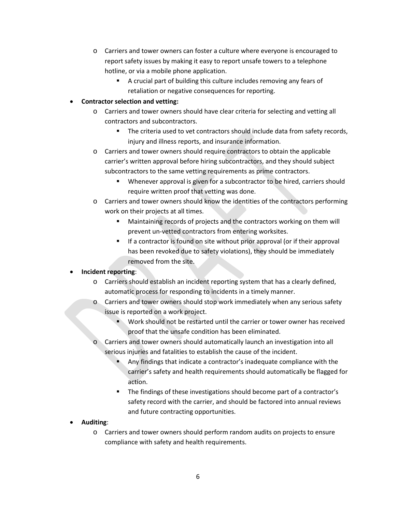- o Carriers and tower owners can foster a culture where everyone is encouraged to report safety issues by making it easy to report unsafe towers to a telephone hotline, or via a mobile phone application.
	- A crucial part of building this culture includes removing any fears of retaliation or negative consequences for reporting.

# • **Contractor selection and vetting:**

- o Carriers and tower owners should have clear criteria for selecting and vetting all contractors and subcontractors.
	- The criteria used to vet contractors should include data from safety records, injury and illness reports, and insurance information.
- o Carriers and tower owners should require contractors to obtain the applicable carrier's written approval before hiring subcontractors, and they should subject subcontractors to the same vetting requirements as prime contractors.
	- **Whenever approval is given for a subcontractor to be hired, carriers should** require written proof that vetting was done.
- o Carriers and tower owners should know the identities of the contractors performing work on their projects at all times.
	- Maintaining records of projects and the contractors working on them will prevent un-vetted contractors from entering worksites.
	- **If a contractor is found on site without prior approval (or if their approval** has been revoked due to safety violations), they should be immediately removed from the site.

# • **Incident reporting**:

- o Carriers should establish an incident reporting system that has a clearly defined, automatic process for responding to incidents in a timely manner.
- o Carriers and tower owners should stop work immediately when any serious safety issue is reported on a work project.
	- Work should not be restarted until the carrier or tower owner has received proof that the unsafe condition has been eliminated.
- Carriers and tower owners should automatically launch an investigation into all serious injuries and fatalities to establish the cause of the incident.
	- Any findings that indicate a contractor's inadequate compliance with the carrier's safety and health requirements should automatically be flagged for action.
	- The findings of these investigations should become part of a contractor's safety record with the carrier, and should be factored into annual reviews and future contracting opportunities.

# • **Auditing**:

o Carriers and tower owners should perform random audits on projects to ensure compliance with safety and health requirements.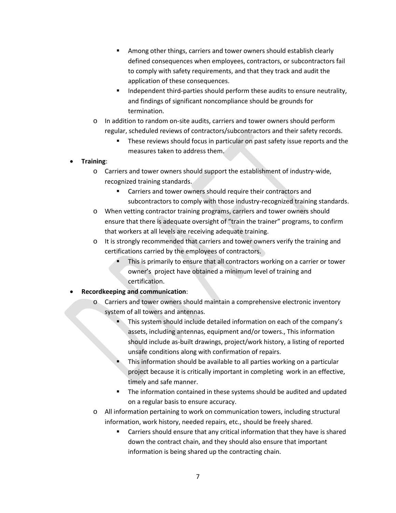- **Among other things, carriers and tower owners should establish clearly** defined consequences when employees, contractors, or subcontractors fail to comply with safety requirements, and that they track and audit the application of these consequences.
- **Independent third-parties should perform these audits to ensure neutrality,** and findings of significant noncompliance should be grounds for termination.
- o In addition to random on-site audits, carriers and tower owners should perform regular, scheduled reviews of contractors/subcontractors and their safety records.
	- **These reviews should focus in particular on past safety issue reports and the** measures taken to address them.

# • **Training**:

- o Carriers and tower owners should support the establishment of industry-wide, recognized training standards.
	- Carriers and tower owners should require their contractors and subcontractors to comply with those industry-recognized training standards.
- o When vetting contractor training programs, carriers and tower owners should ensure that there is adequate oversight of "train the trainer" programs, to confirm that workers at all levels are receiving adequate training.
- $\circ$  It is strongly recommended that carriers and tower owners verify the training and certifications carried by the employees of contractors.
	- This is primarily to ensure that all contractors working on a carrier or tower owner's project have obtained a minimum level of training and certification.

# • **Recordkeeping and communication**:

- o Carriers and tower owners should maintain a comprehensive electronic inventory system of all towers and antennas.
	- This system should include detailed information on each of the company's assets, including antennas, equipment and/or towers., This information should include as-built drawings, project/work history, a listing of reported unsafe conditions along with confirmation of repairs.
	- This information should be available to all parties working on a particular project because it is critically important in completing work in an effective, timely and safe manner.
	- The information contained in these systems should be audited and updated on a regular basis to ensure accuracy.
- o All information pertaining to work on communication towers, including structural information, work history, needed repairs, etc., should be freely shared.
	- Carriers should ensure that any critical information that they have is shared down the contract chain, and they should also ensure that important information is being shared up the contracting chain.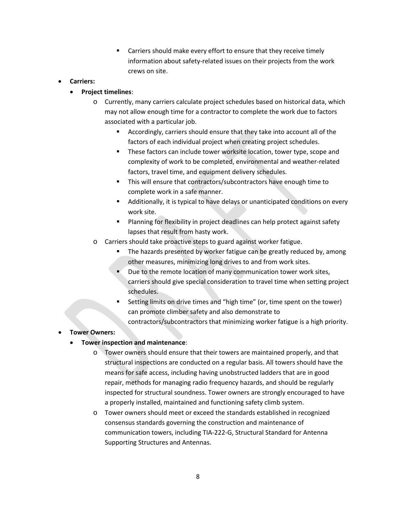Carriers should make every effort to ensure that they receive timely information about safety-related issues on their projects from the work crews on site.

## • **Carriers:**

## • **Project timelines**:

- o Currently, many carriers calculate project schedules based on historical data, which may not allow enough time for a contractor to complete the work due to factors associated with a particular job.
	- Accordingly, carriers should ensure that they take into account all of the factors of each individual project when creating project schedules.
	- **These factors can include tower worksite location, tower type, scope and** complexity of work to be completed, environmental and weather-related factors, travel time, and equipment delivery schedules.
	- **This will ensure that contractors/subcontractors have enough time to** complete work in a safe manner.
	- Additionally, it is typical to have delays or unanticipated conditions on every work site.
	- **Planning for flexibility in project deadlines can help protect against safety** lapses that result from hasty work.
- o Carriers should take proactive steps to guard against worker fatigue.
	- The hazards presented by worker fatigue can be greatly reduced by, among other measures, minimizing long drives to and from work sites.
	- Due to the remote location of many communication tower work sites, carriers should give special consideration to travel time when setting project schedules.
	- Setting limits on drive times and "high time" (or, time spent on the tower) can promote climber safety and also demonstrate to contractors/subcontractors that minimizing worker fatigue is a high priority.

# • **Tower Owners:**

- **Tower inspection and maintenance**:
	- o Tower owners should ensure that their towers are maintained properly, and that structural inspections are conducted on a regular basis. All towers should have the means for safe access, including having unobstructed ladders that are in good repair, methods for managing radio frequency hazards, and should be regularly inspected for structural soundness. Tower owners are strongly encouraged to have a properly installed, maintained and functioning safety climb system.
	- o Tower owners should meet or exceed the standards established in recognized consensus standards governing the construction and maintenance of communication towers, including TIA-222-G, Structural Standard for Antenna Supporting Structures and Antennas.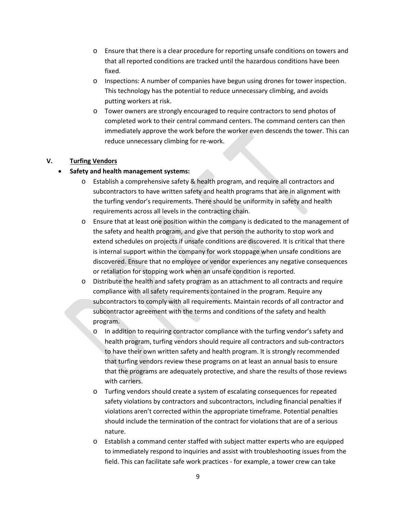- o Ensure that there is a clear procedure for reporting unsafe conditions on towers and that all reported conditions are tracked until the hazardous conditions have been fixed.
- o Inspections: A number of companies have begun using drones for tower inspection. This technology has the potential to reduce unnecessary climbing, and avoids putting workers at risk.
- o Tower owners are strongly encouraged to require contractors to send photos of completed work to their central command centers. The command centers can then immediately approve the work before the worker even descends the tower. This can reduce unnecessary climbing for re-work.

# **V. Turfing Vendors**

# • **Safety and health management systems:**

- o Establish a comprehensive safety & health program, and require all contractors and subcontractors to have written safety and health programs that are in alignment with the turfing vendor's requirements. There should be uniformity in safety and health requirements across all levels in the contracting chain.
- o Ensure that at least one position within the company is dedicated to the management of the safety and health program, and give that person the authority to stop work and extend schedules on projects if unsafe conditions are discovered. It is critical that there is internal support within the company for work stoppage when unsafe conditions are discovered. Ensure that no employee or vendor experiences any negative consequences or retaliation for stopping work when an unsafe condition is reported.
- o Distribute the health and safety program as an attachment to all contracts and require compliance with all safety requirements contained in the program. Require any subcontractors to comply with all requirements. Maintain records of all contractor and subcontractor agreement with the terms and conditions of the safety and health program.
	- In addition to requiring contractor compliance with the turfing vendor's safety and health program, turfing vendors should require all contractors and sub-contractors to have their own written safety and health program. It is strongly recommended that turfing vendors review these programs on at least an annual basis to ensure that the programs are adequately protective, and share the results of those reviews with carriers.
	- o Turfing vendors should create a system of escalating consequences for repeated safety violations by contractors and subcontractors, including financial penalties if violations aren't corrected within the appropriate timeframe. Potential penalties should include the termination of the contract for violations that are of a serious nature.
	- o Establish a command center staffed with subject matter experts who are equipped to immediately respond to inquiries and assist with troubleshooting issues from the field. This can facilitate safe work practices - for example, a tower crew can take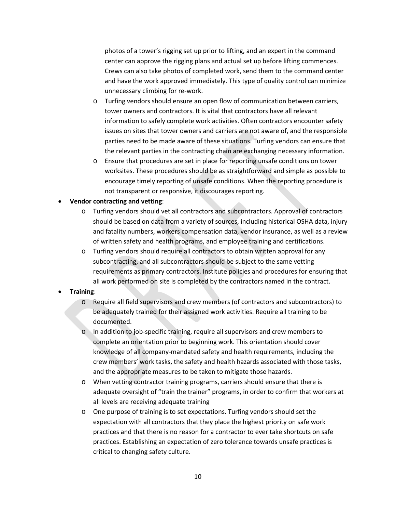photos of a tower's rigging set up prior to lifting, and an expert in the command center can approve the rigging plans and actual set up before lifting commences. Crews can also take photos of completed work, send them to the command center and have the work approved immediately. This type of quality control can minimize unnecessary climbing for re-work.

- o Turfing vendors should ensure an open flow of communication between carriers, tower owners and contractors. It is vital that contractors have all relevant information to safely complete work activities. Often contractors encounter safety issues on sites that tower owners and carriers are not aware of, and the responsible parties need to be made aware of these situations. Turfing vendors can ensure that the relevant parties in the contracting chain are exchanging necessary information.
- o Ensure that procedures are set in place for reporting unsafe conditions on tower worksites. These procedures should be as straightforward and simple as possible to encourage timely reporting of unsafe conditions. When the reporting procedure is not transparent or responsive, it discourages reporting.

#### • **Vendor contracting and vetting**:

- o Turfing vendors should vet all contractors and subcontractors. Approval of contractors should be based on data from a variety of sources, including historical OSHA data, injury and fatality numbers, workers compensation data, vendor insurance, as well as a review of written safety and health programs, and employee training and certifications.
- o Turfing vendors should require all contractors to obtain written approval for any subcontracting, and all subcontractors should be subject to the same vetting requirements as primary contractors. Institute policies and procedures for ensuring that all work performed on site is completed by the contractors named in the contract.

#### • **Training**:

- o Require all field supervisors and crew members (of contractors and subcontractors) to be adequately trained for their assigned work activities. Require all training to be documented.
- o In addition to job-specific training, require all supervisors and crew members to complete an orientation prior to beginning work. This orientation should cover knowledge of all company-mandated safety and health requirements, including the crew members' work tasks, the safety and health hazards associated with those tasks, and the appropriate measures to be taken to mitigate those hazards.
- o When vetting contractor training programs, carriers should ensure that there is adequate oversight of "train the trainer" programs, in order to confirm that workers at all levels are receiving adequate training
- o One purpose of training is to set expectations. Turfing vendors should set the expectation with all contractors that they place the highest priority on safe work practices and that there is no reason for a contractor to ever take shortcuts on safe practices. Establishing an expectation of zero tolerance towards unsafe practices is critical to changing safety culture.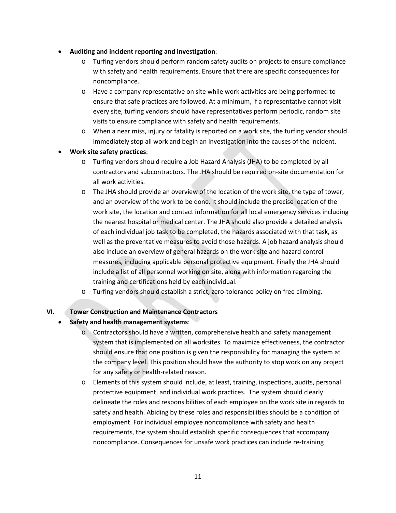- **Auditing and incident reporting and investigation**:
	- o Turfing vendors should perform random safety audits on projects to ensure compliance with safety and health requirements. Ensure that there are specific consequences for noncompliance.
	- o Have a company representative on site while work activities are being performed to ensure that safe practices are followed. At a minimum, if a representative cannot visit every site, turfing vendors should have representatives perform periodic, random site visits to ensure compliance with safety and health requirements.
	- o When a near miss, injury or fatality is reported on a work site, the turfing vendor should immediately stop all work and begin an investigation into the causes of the incident.
- **Work site safety practices**:
	- o Turfing vendors should require a Job Hazard Analysis (JHA) to be completed by all contractors and subcontractors. The JHA should be required on-site documentation for all work activities.
	- o The JHA should provide an overview of the location of the work site, the type of tower, and an overview of the work to be done. It should include the precise location of the work site, the location and contact information for all local emergency services including the nearest hospital or medical center. The JHA should also provide a detailed analysis of each individual job task to be completed, the hazards associated with that task, as well as the preventative measures to avoid those hazards. A job hazard analysis should also include an overview of general hazards on the work site and hazard control measures, including applicable personal protective equipment. Finally the JHA should include a list of all personnel working on site, along with information regarding the training and certifications held by each individual.
	- o Turfing vendors should establish a strict, zero-tolerance policy on free climbing.

### **VI. Tower Construction and Maintenance Contractors**

### • **Safety and health management systems**:

- o Contractors should have a written, comprehensive health and safety management system that is implemented on all worksites. To maximize effectiveness, the contractor should ensure that one position is given the responsibility for managing the system at the company level. This position should have the authority to stop work on any project for any safety or health-related reason.
- o Elements of this system should include, at least, training, inspections, audits, personal protective equipment, and individual work practices. The system should clearly delineate the roles and responsibilities of each employee on the work site in regards to safety and health. Abiding by these roles and responsibilities should be a condition of employment. For individual employee noncompliance with safety and health requirements, the system should establish specific consequences that accompany noncompliance. Consequences for unsafe work practices can include re-training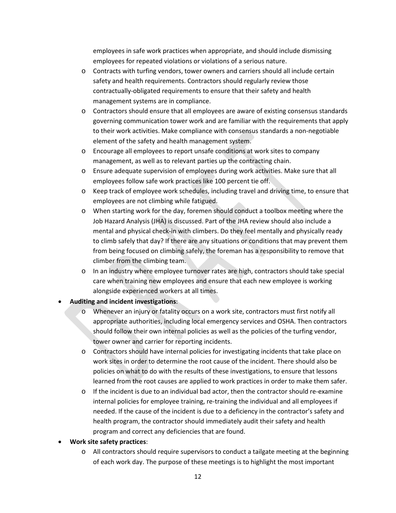employees in safe work practices when appropriate, and should include dismissing employees for repeated violations or violations of a serious nature.

- o Contracts with turfing vendors, tower owners and carriers should all include certain safety and health requirements. Contractors should regularly review those contractually-obligated requirements to ensure that their safety and health management systems are in compliance.
- o Contractors should ensure that all employees are aware of existing consensus standards governing communication tower work and are familiar with the requirements that apply to their work activities. Make compliance with consensus standards a non-negotiable element of the safety and health management system.
- o Encourage all employees to report unsafe conditions at work sites to company management, as well as to relevant parties up the contracting chain.
- o Ensure adequate supervision of employees during work activities. Make sure that all employees follow safe work practices like 100 percent tie off.
- o Keep track of employee work schedules, including travel and driving time, to ensure that employees are not climbing while fatigued.
- o When starting work for the day, foremen should conduct a toolbox meeting where the Job Hazard Analysis (JHA) is discussed. Part of the JHA review should also include a mental and physical check-in with climbers. Do they feel mentally and physically ready to climb safely that day? If there are any situations or conditions that may prevent them from being focused on climbing safely, the foreman has a responsibility to remove that climber from the climbing team.
- o In an industry where employee turnover rates are high, contractors should take special care when training new employees and ensure that each new employee is working alongside experienced workers at all times.
- **Auditing and incident investigations**:
	- Whenever an injury or fatality occurs on a work site, contractors must first notify all appropriate authorities, including local emergency services and OSHA. Then contractors should follow their own internal policies as well as the policies of the turfing vendor, tower owner and carrier for reporting incidents.
	- o Contractors should have internal policies for investigating incidents that take place on work sites in order to determine the root cause of the incident. There should also be policies on what to do with the results of these investigations, to ensure that lessons learned from the root causes are applied to work practices in order to make them safer.
	- o If the incident is due to an individual bad actor, then the contractor should re-examine internal policies for employee training, re-training the individual and all employees if needed. If the cause of the incident is due to a deficiency in the contractor's safety and health program, the contractor should immediately audit their safety and health program and correct any deficiencies that are found.
- **Work site safety practices**:
	- o All contractors should require supervisors to conduct a tailgate meeting at the beginning of each work day. The purpose of these meetings is to highlight the most important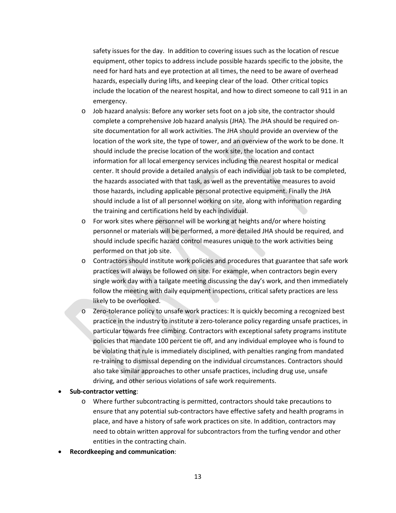safety issues for the day. In addition to covering issues such as the location of rescue equipment, other topics to address include possible hazards specific to the jobsite, the need for hard hats and eye protection at all times, the need to be aware of overhead hazards, especially during lifts, and keeping clear of the load. Other critical topics include the location of the nearest hospital, and how to direct someone to call 911 in an emergency.

- o Job hazard analysis: Before any worker sets foot on a job site, the contractor should complete a comprehensive Job hazard analysis (JHA). The JHA should be required onsite documentation for all work activities. The JHA should provide an overview of the location of the work site, the type of tower, and an overview of the work to be done. It should include the precise location of the work site, the location and contact information for all local emergency services including the nearest hospital or medical center. It should provide a detailed analysis of each individual job task to be completed, the hazards associated with that task, as well as the preventative measures to avoid those hazards, including applicable personal protective equipment. Finally the JHA should include a list of all personnel working on site, along with information regarding the training and certifications held by each individual.
- o For work sites where personnel will be working at heights and/or where hoisting personnel or materials will be performed, a more detailed JHA should be required, and should include specific hazard control measures unique to the work activities being performed on that job site.
- o Contractors should institute work policies and procedures that guarantee that safe work practices will always be followed on site. For example, when contractors begin every single work day with a tailgate meeting discussing the day's work, and then immediately follow the meeting with daily equipment inspections, critical safety practices are less likely to be overlooked.
- o Zero-tolerance policy to unsafe work practices: It is quickly becoming a recognized best practice in the industry to institute a zero-tolerance policy regarding unsafe practices, in particular towards free climbing. Contractors with exceptional safety programs institute policies that mandate 100 percent tie off, and any individual employee who is found to be violating that rule is immediately disciplined, with penalties ranging from mandated re-training to dismissal depending on the individual circumstances. Contractors should also take similar approaches to other unsafe practices, including drug use, unsafe driving, and other serious violations of safe work requirements.

#### • **Sub-contractor vetting**:

- o Where further subcontracting is permitted, contractors should take precautions to ensure that any potential sub-contractors have effective safety and health programs in place, and have a history of safe work practices on site. In addition, contractors may need to obtain written approval for subcontractors from the turfing vendor and other entities in the contracting chain.
- **Recordkeeping and communication**: